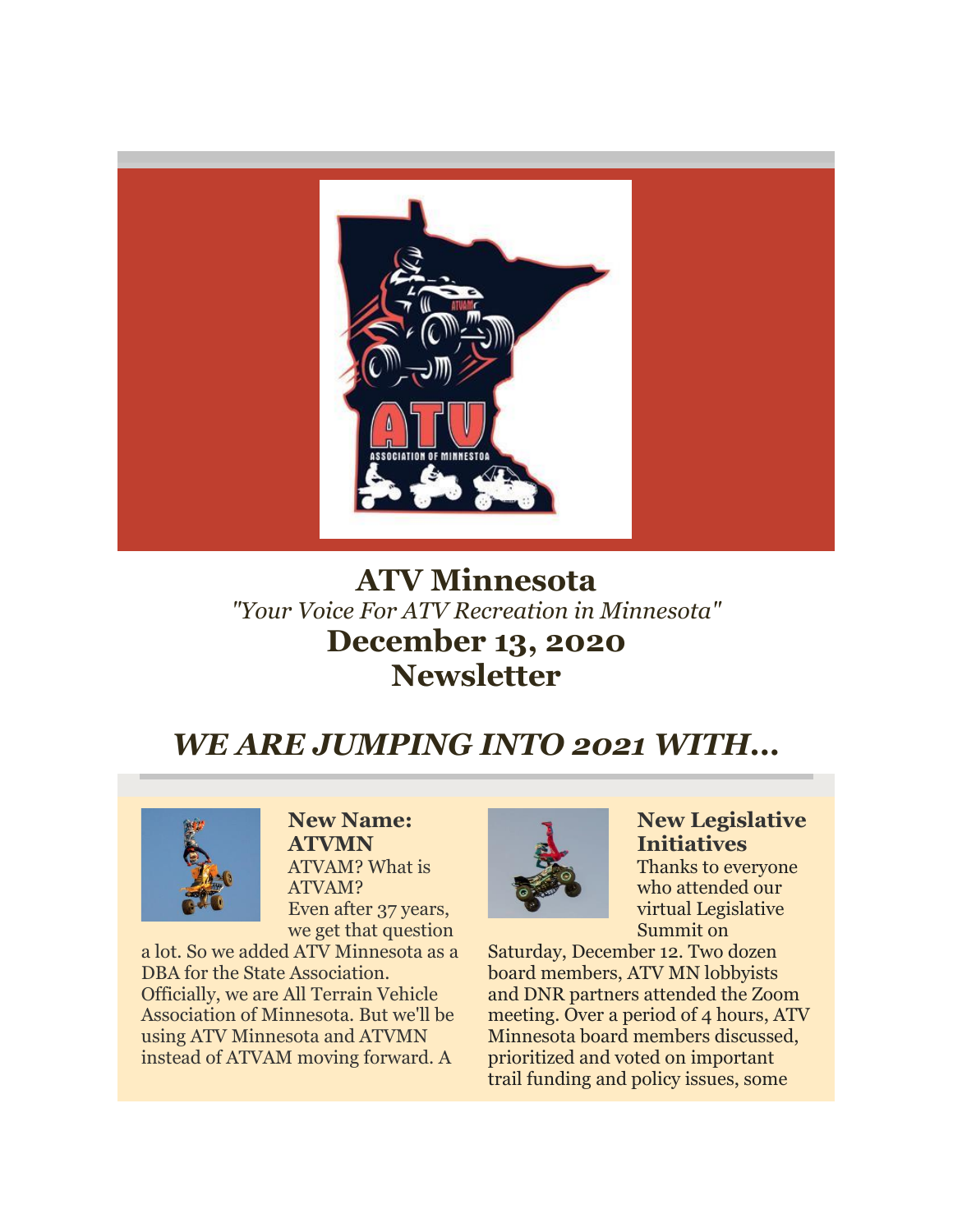

# **ATV Minnesota** *"Your Voice For ATV Recreation in Minnesota"* **December 13, 2020 Newsletter**

# *WE ARE JUMPING INTO 2021 WITH...*



**New Name: ATVMN** ATVAM? What is ATVAM? Even after 37 years, we get that question

a lot. So we added ATV Minnesota as a DBA for the State Association. Officially, we are All Terrain Vehicle Association of Minnesota. But we'll be using ATV Minnesota and ATVMN instead of ATVAM moving forward. A



**New Legislative Initiatives** Thanks to everyone who attended our virtual Legislative Summit on

Saturday, December 12. Two dozen board members, ATV MN lobbyists and DNR partners attended the Zoom meeting. Over a period of 4 hours, ATV Minnesota board members discussed, prioritized and voted on important trail funding and policy issues, some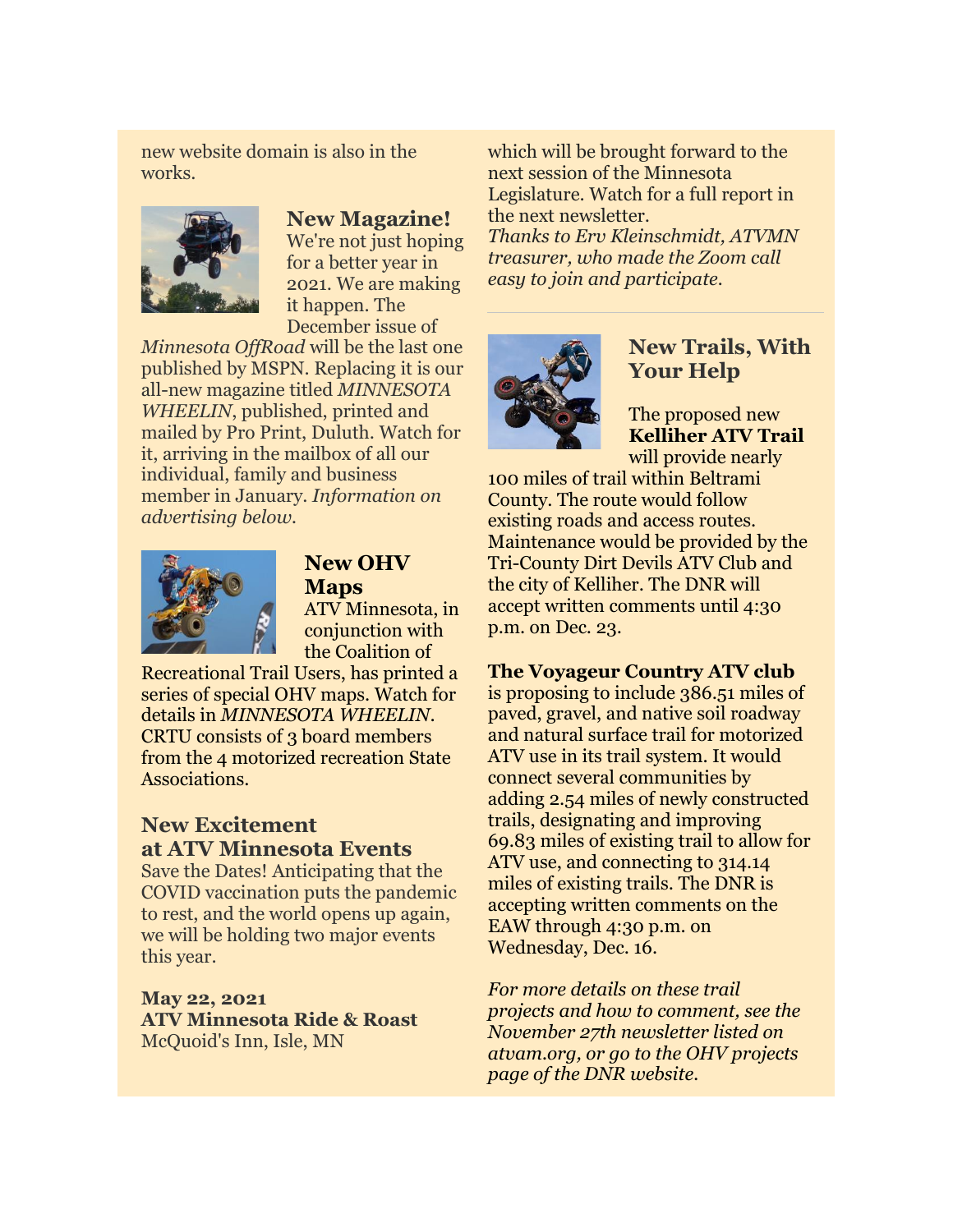new website domain is also in the works.



#### **New Magazine!**

We're not just hoping for a better year in 2021. We are making it happen. The December issue of

*Minnesota OffRoad* will be the last one published by MSPN. Replacing it is our all-new magazine titled *MINNESOTA WHEELIN*, published, printed and mailed by Pro Print, Duluth. Watch for it, arriving in the mailbox of all our individual, family and business member in January. *Information on advertising below.*



**New OHV Maps**  ATV Minnesota, in conjunction with the Coalition of

Recreational Trail Users, has printed a series of special OHV maps. Watch for details in *MINNESOTA WHEELIN*. CRTU consists of 3 board members from the 4 motorized recreation State Associations.

### **New Excitement at ATV Minnesota Events**

Save the Dates! Anticipating that the COVID vaccination puts the pandemic to rest, and the world opens up again, we will be holding two major events this year.

**May 22, 2021 ATV Minnesota Ride & Roast** McQuoid's Inn, Isle, MN

which will be brought forward to the next session of the Minnesota Legislature. Watch for a full report in the next newsletter. *Thanks to Erv Kleinschmidt, ATVMN treasurer, who made the Zoom call* 

*easy to join and participate.* 



### **New Trails, With Your Help**

The proposed new **Kelliher ATV Trail** will provide nearly

100 miles of trail within Beltrami County. The route would follow existing roads and access routes. Maintenance would be provided by the Tri-County Dirt Devils ATV Club and the city of Kelliher. The DNR will accept written comments until 4:30 p.m. on Dec. 23.

#### **The Voyageur Country ATV club**

is proposing to include 386.51 miles of paved, gravel, and native soil roadway and natural surface trail for motorized ATV use in its trail system. It would connect several communities by adding 2.54 miles of newly constructed trails, designating and improving 69.83 miles of existing trail to allow for ATV use, and connecting to 314.14 miles of existing trails. The DNR is accepting written comments on the EAW through 4:30 p.m. on Wednesday, Dec. 16.

*For more details on these trail projects and how to comment, see the November 27th newsletter listed on atvam.org, or go to the OHV projects page of the DNR website.*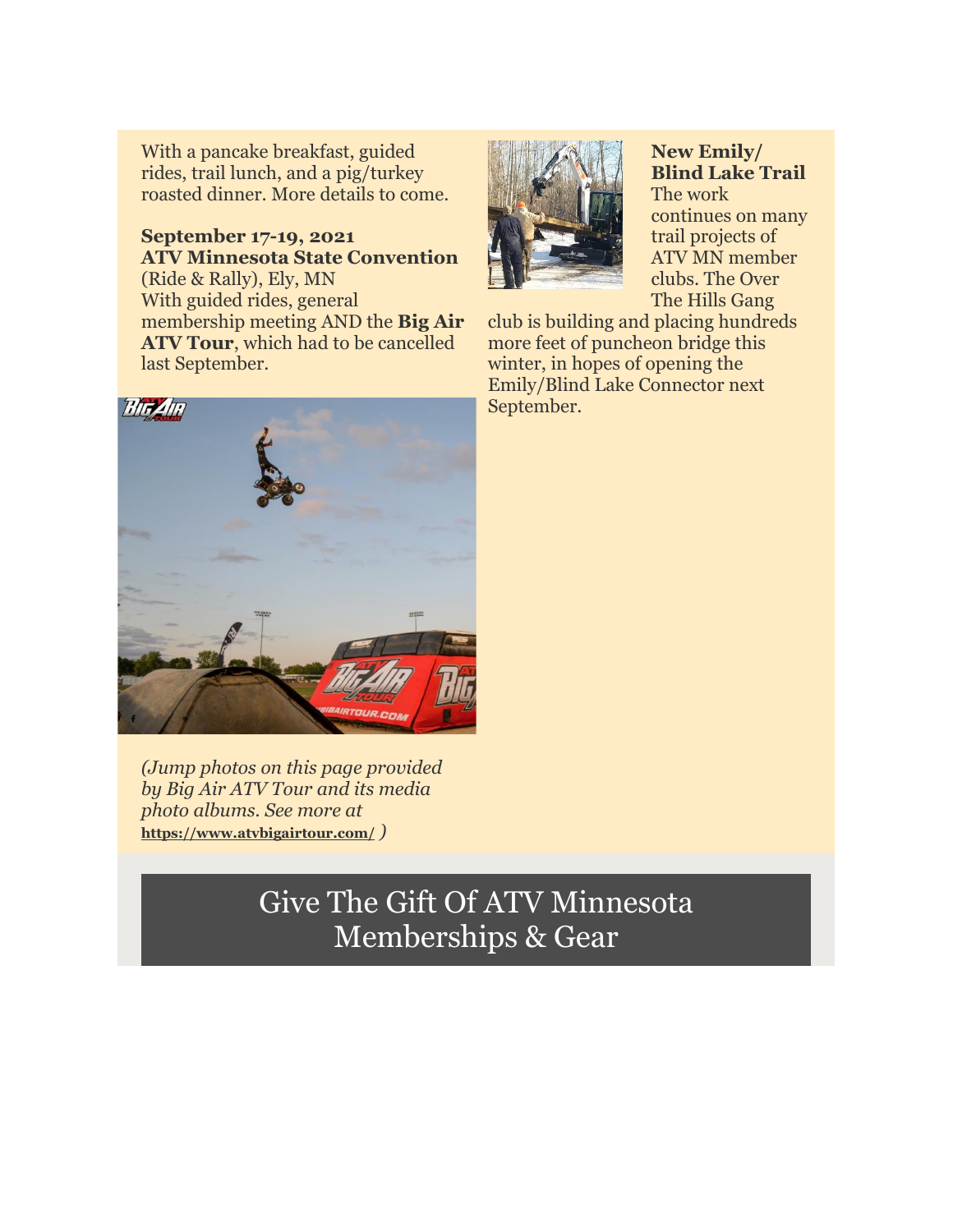With a pancake breakfast, guided rides, trail lunch, and a pig/turkey roasted dinner. More details to come.

#### **September 17-19, 2021 ATV Minnesota State Convention**  (Ride & Rally), Ely, MN With guided rides, general membership meeting AND the **Big Air ATV Tour**, which had to be cancelled last September.



**New Emily/ Blind Lake Trail**  The work continues on many trail projects of ATV MN member clubs. The Over The Hills Gang

club is building and placing hundreds more feet of puncheon bridge this winter, in hopes of opening the Emily/Blind Lake Connector next September.



*(Jump photos on this page provided by Big Air ATV Tour and its media photo albums. See more at*  **[https://www.atvbigairtour.com/](http://r20.rs6.net/tn.jsp?f=0014u_xxbh0YcmHglOG1UYH3fuTAPmVhv1F887ubrmExIMTLMFFxrqCdSlzSI-_hrMGpWz1oGVPIE0GdR1VYr37zVYOyDB0zSxXsXK0YcA4l9vNcC2dZFrgfC_5rMDXWPBXTnFzzAmfQGhqG01cFOCaiA==&c=n1jRmGktqzDZkQYETJ8O5L11Wcl96JGlGdgWf-JwvHDx3fpD8shcGw==&ch=V1EY68ZHKO8pd-vh-LEfbhliWTONjViu0UMDC5xOdqBPDsgEr7lq2w==)** *)*

# Give The Gift Of ATV Minnesota Memberships & Gear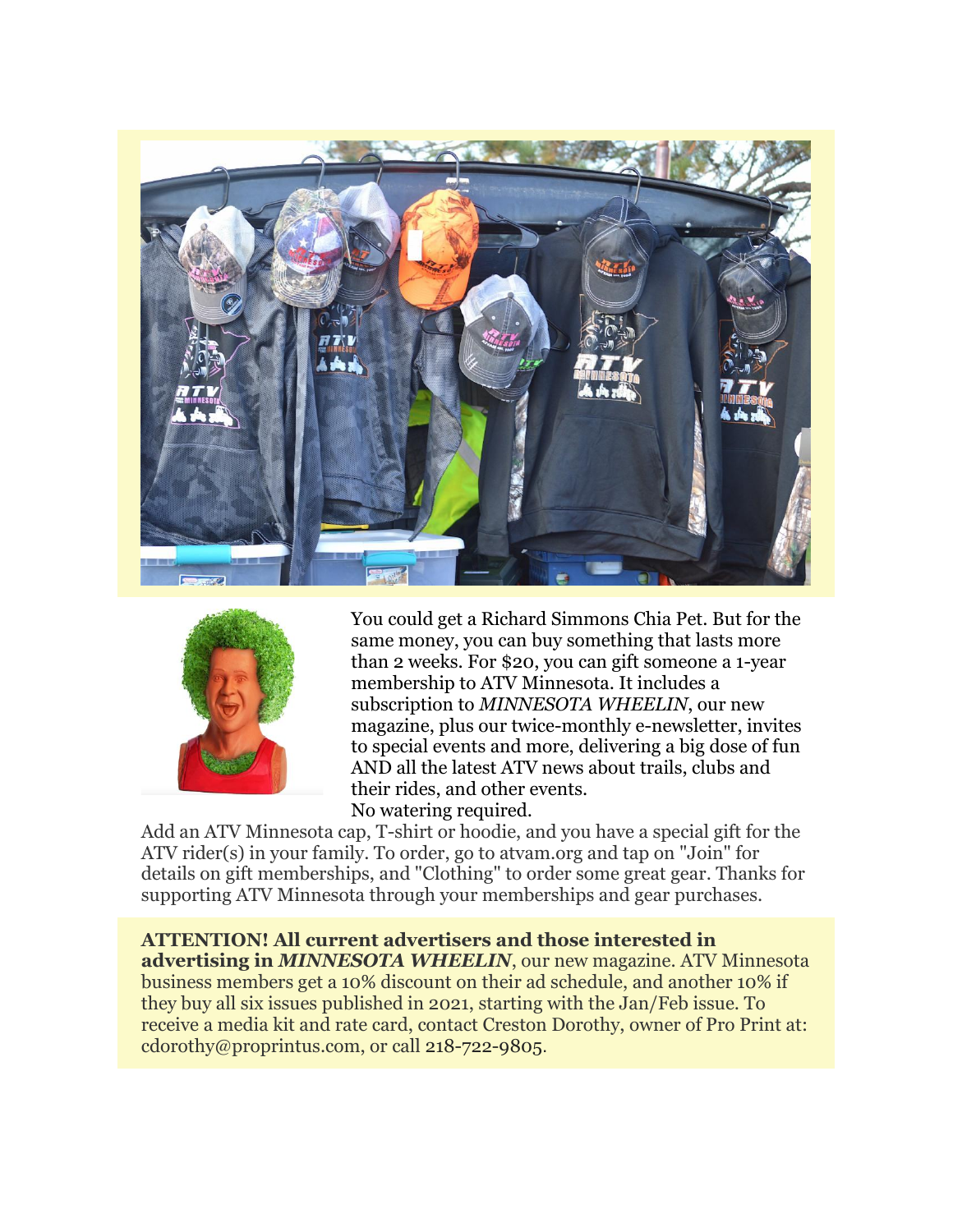



You could get a Richard Simmons Chia Pet. But for the same money, you can buy something that lasts more than 2 weeks. For \$20, you can gift someone a 1-year membership to ATV Minnesota. It includes a subscription to *MINNESOTA WHEELIN*, our new magazine, plus our twice-monthly e-newsletter, invites to special events and more, delivering a big dose of fun AND all the latest ATV news about trails, clubs and their rides, and other events. No watering required.

Add an ATV Minnesota cap, T-shirt or hoodie, and you have a special gift for the ATV rider(s) in your family. To order, go to atvam.org and tap on "Join" for details on gift memberships, and "Clothing" to order some great gear. Thanks for supporting ATV Minnesota through your memberships and gear purchases.

**ATTENTION! All current advertisers and those interested in advertising in** *MINNESOTA WHEELIN*, our new magazine. ATV Minnesota business members get a 10% discount on their ad schedule, and another 10% if they buy all six issues published in 2021, starting with the Jan/Feb issue. To receive a media kit and rate card, contact Creston Dorothy, owner of Pro Print at: cdorothy@proprintus.com, or call 218-722-9805.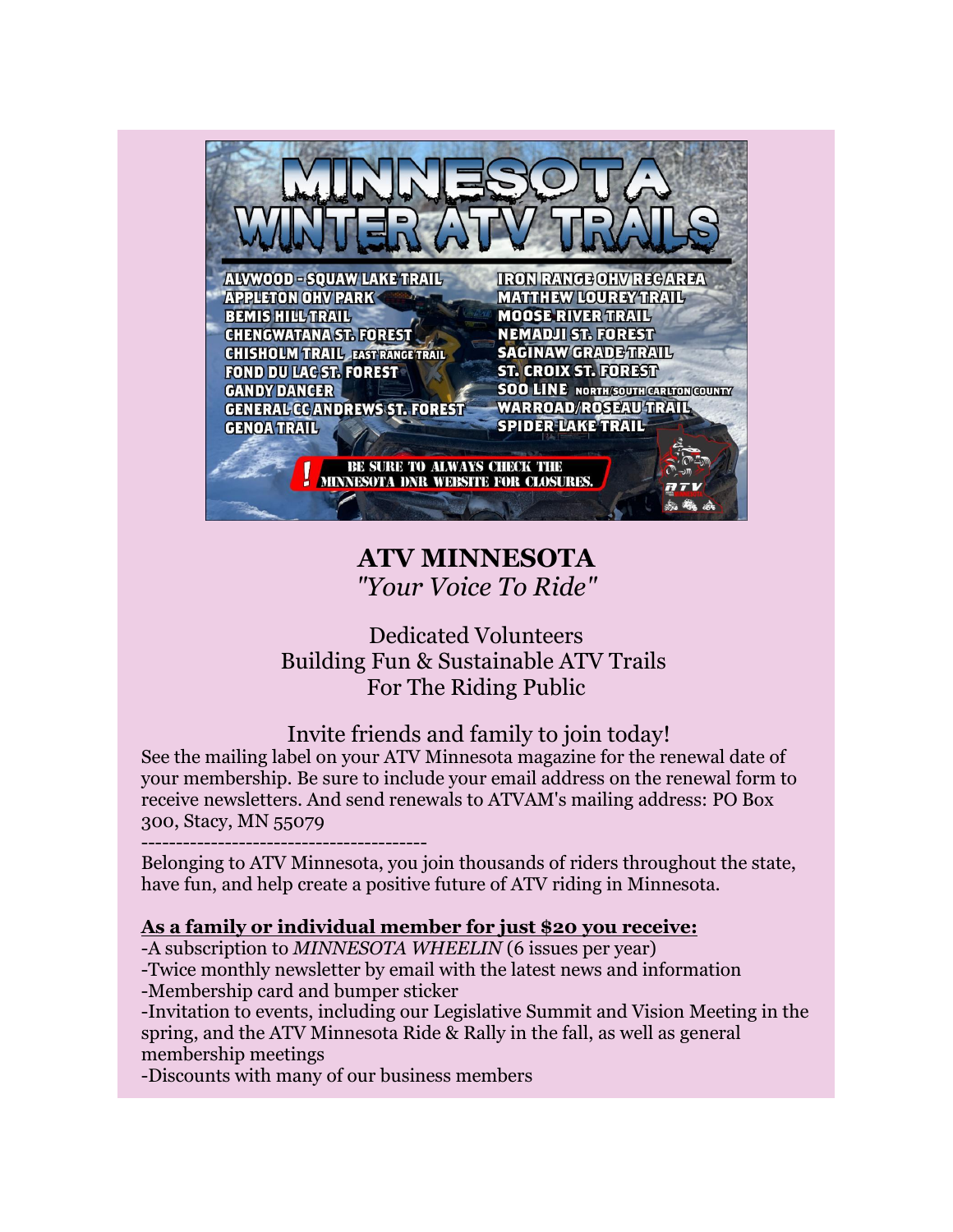

## **ATV MINNESOTA** *"Your Voice To Ride"*

### Dedicated Volunteers Building Fun & Sustainable ATV Trails For The Riding Public

## Invite friends and family to join today!

See the mailing label on your ATV Minnesota magazine for the renewal date of your membership. Be sure to include your email address on the renewal form to receive newsletters. And send renewals to ATVAM's mailing address: PO Box 300, Stacy, MN 55079

-----------------------------------------

Belonging to ATV Minnesota, you join thousands of riders throughout the state, have fun, and help create a positive future of ATV riding in Minnesota.

### **[As a family or individual member for just \\$20](imap://ervin%40kleinschmidts%2Ecom@host289.hostmonster.com:143/fetch%3EUID%3E.INBOX%3E145515) you receive:**

-A subscription to *MINNESOTA WHEELIN* (6 issues per year)

-Twice monthly newsletter by email with the latest news and information -Membership card and bumper sticker

-Invitation to events, including our Legislative Summit and Vision Meeting in the spring, and the ATV Minnesota Ride & Rally in the fall, as well as general membership meetings

-Discounts with many of our business members